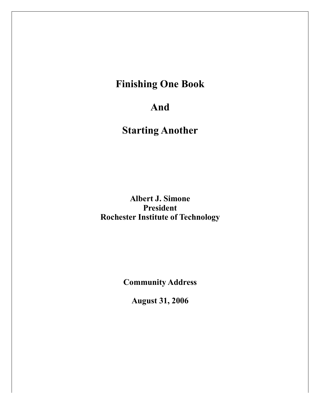# **Finishing One Book**

## **And**

# **Starting Another**

**Albert J. Simone President Rochester Institute of Technology**

**Community Address**

**August 31, 2006**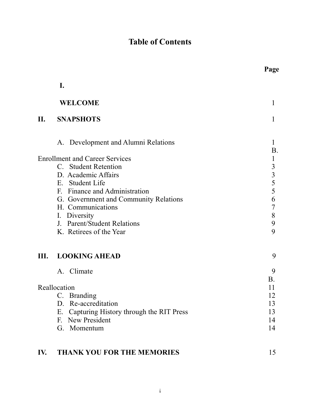## **Table of Contents**

|              | I.                                            |                                                 |
|--------------|-----------------------------------------------|-------------------------------------------------|
|              | <b>WELCOME</b>                                | 1                                               |
| II.          | <b>SNAPSHOTS</b>                              | 1                                               |
|              | A. Development and Alumni Relations           | 1<br>Β.                                         |
|              | <b>Enrollment and Career Services</b>         | $\mathbf{1}$                                    |
|              | C. Student Retention                          |                                                 |
|              | D. Academic Affairs                           |                                                 |
|              | <b>Student Life</b><br>E.                     | $\begin{array}{c} 3 \\ 3 \\ 5 \\ 5 \end{array}$ |
|              | F. Finance and Administration                 |                                                 |
|              | G. Government and Community Relations         | 6                                               |
|              | H. Communications                             | $\overline{7}$                                  |
|              | I. Diversity                                  | 8                                               |
|              | J. Parent/Student Relations                   | 9                                               |
|              | K. Retirees of the Year                       | 9                                               |
| III.         | <b>LOOKING AHEAD</b>                          | 9                                               |
|              | A. Climate                                    | 9                                               |
|              |                                               | <b>B</b> .                                      |
| Reallocation |                                               | 11                                              |
|              | C. Branding                                   | 12                                              |
|              | D. Re-accreditation                           | 13                                              |
|              | Capturing History through the RIT Press<br>Ε. | 13                                              |
|              | <b>New President</b><br>F.                    | 14                                              |
|              | G. Momentum                                   | 14                                              |
| IV.          | THANK YOU FOR THE MEMORIES                    | 15                                              |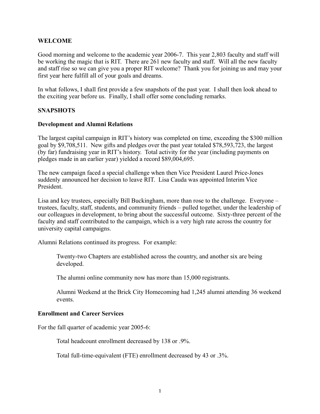## **WELCOME**

Good morning and welcome to the academic year 2006-7. This year 2,803 faculty and staff will be working the magic that is RIT. There are 261 new faculty and staff. Will all the new faculty and staff rise so we can give you a proper RIT welcome? Thank you for joining us and may your first year here fulfill all of your goals and dreams.

In what follows, I shall first provide a few snapshots of the past year. I shall then look ahead to the exciting year before us. Finally, I shall offer some concluding remarks.

#### **SNAPSHOTS**

#### **Development and Alumni Relations**

The largest capital campaign in RIT's history was completed on time, exceeding the \$300 million goal by \$9,708,511. New gifts and pledges over the past year totaled \$78,593,723, the largest (by far) fundraising year in RIT's history. Total activity for the year (including payments on pledges made in an earlier year) yielded a record \$89,004,695.

The new campaign faced a special challenge when then Vice President Laurel Price-Jones suddenly announced her decision to leave RIT. Lisa Cauda was appointed Interim Vice President.

Lisa and key trustees, especially Bill Buckingham, more than rose to the challenge. Everyone – trustees, faculty, staff, students, and community friends – pulled together, under the leadership of our colleagues in development, to bring about the successful outcome. Sixty-three percent of the faculty and staff contributed to the campaign, which is a very high rate across the country for university capital campaigns.

Alumni Relations continued its progress. For example:

 Twenty-two Chapters are established across the country, and another six are being developed.

The alumni online community now has more than 15,000 registrants.

 Alumni Weekend at the Brick City Homecoming had 1,245 alumni attending 36 weekend events.

#### **Enrollment and Career Services**

For the fall quarter of academic year 2005-6:

Total headcount enrollment decreased by 138 or .9%.

Total full-time-equivalent (FTE) enrollment decreased by 43 or .3%.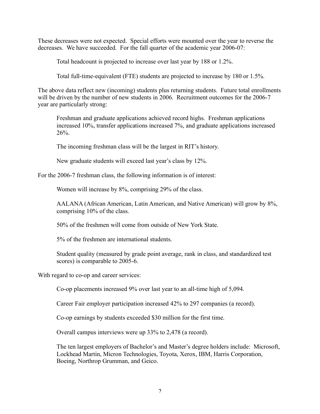These decreases were not expected. Special efforts were mounted over the year to reverse the decreases. We have succeeded. For the fall quarter of the academic year 2006-07:

Total headcount is projected to increase over last year by 188 or 1.2%.

Total full-time-equivalent (FTE) students are projected to increase by 180 or 1.5%.

The above data reflect new (incoming) students plus returning students. Future total enrollments will be driven by the number of new students in 2006. Recruitment outcomes for the 2006-7 year are particularly strong:

 Freshman and graduate applications achieved record highs. Freshman applications increased 10%, transfer applications increased 7%, and graduate applications increased 26%.

The incoming freshman class will be the largest in RIT's history.

New graduate students will exceed last year's class by 12%.

For the 2006-7 freshman class, the following information is of interest:

Women will increase by 8%, comprising 29% of the class.

 AALANA (African American, Latin American, and Native American) will grow by 8%, comprising 10% of the class.

50% of the freshmen will come from outside of New York State.

5% of the freshmen are international students.

 Student quality (measured by grade point average, rank in class, and standardized test scores) is comparable to 2005-6.

With regard to co-op and career services:

Co-op placements increased 9% over last year to an all-time high of 5,094.

Career Fair employer participation increased 42% to 297 companies (a record).

Co-op earnings by students exceeded \$30 million for the first time.

Overall campus interviews were up 33% to 2,478 (a record).

 The ten largest employers of Bachelor's and Master's degree holders include: Microsoft, Lockhead Martin, Micron Technologies, Toyota, Xerox, IBM, Harris Corporation, Boeing, Northrop Grumman, and Geico.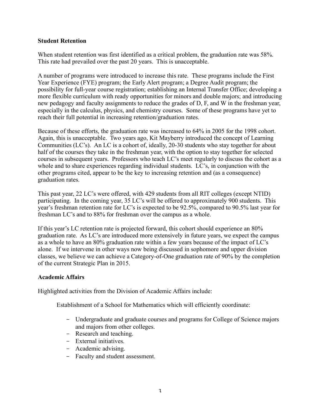## **Student Retention**

When student retention was first identified as a critical problem, the graduation rate was 58%. This rate had prevailed over the past 20 years. This is unacceptable.

A number of programs were introduced to increase this rate. These programs include the First Year Experience (FYE) program; the Early Alert program; a Degree Audit program; the possibility for full-year course registration; establishing an Internal Transfer Office; developing a more flexible curriculum with ready opportunities for minors and double majors; and introducing new pedagogy and faculty assignments to reduce the grades of D, F, and W in the freshman year, especially in the calculus, physics, and chemistry courses. Some of these programs have yet to reach their full potential in increasing retention/graduation rates.

Because of these efforts, the graduation rate was increased to 64% in 2005 for the 1998 cohort. Again, this is unacceptable. Two years ago, Kit Mayberry introduced the concept of Learning Communities (LC's). An LC is a cohort of, ideally, 20-30 students who stay together for about half of the courses they take in the freshman year, with the option to stay together for selected courses in subsequent years. Professors who teach LC's meet regularly to discuss the cohort as a whole and to share experiences regarding individual students. LC's, in conjunction with the other programs cited, appear to be the key to increasing retention and (as a consequence) graduation rates.

This past year, 22 LC's were offered, with 429 students from all RIT colleges (except NTID) participating. In the coming year, 35 LC's will be offered to approximately 900 students. This year's freshman retention rate for LC's is expected to be 92.5%, compared to 90.5% last year for freshman LC's and to 88% for freshman over the campus as a whole.

If this year's LC retention rate is projected forward, this cohort should experience an 80% graduation rate. As LC's are introduced more extensively in future years, we expect the campus as a whole to have an 80% graduation rate within a few years because of the impact of LC's alone. If we intervene in other ways now being discussed in sophomore and upper division classes, we believe we can achieve a Category-of-One graduation rate of 90% by the completion of the current Strategic Plan in 2015.

## **Academic Affairs**

Highlighted activities from the Division of Academic Affairs include:

Establishment of a School for Mathematics which will efficiently coordinate:

- Undergraduate and graduate courses and programs for College of Science majors and majors from other colleges.
- Research and teaching.
- External initiatives.
- Academic advising.
- Faculty and student assessment.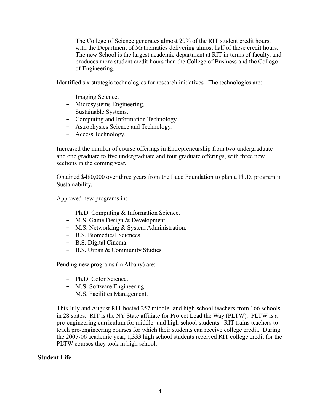The College of Science generates almost 20% of the RIT student credit hours, with the Department of Mathematics delivering almost half of these credit hours. The new School is the largest academic department at RIT in terms of faculty, and produces more student credit hours than the College of Business and the College of Engineering.

Identified six strategic technologies for research initiatives. The technologies are:

- Imaging Science.
- Microsystems Engineering.
- Sustainable Systems.
- Computing and Information Technology.
- Astrophysics Science and Technology.
- Access Technology.

 Increased the number of course offerings in Entrepreneurship from two undergraduate and one graduate to five undergraduate and four graduate offerings, with three new sections in the coming year.

 Obtained \$480,000 over three years from the Luce Foundation to plan a Ph.D. program in Sustainability.

Approved new programs in:

- Ph.D. Computing & Information Science.
- M.S. Game Design & Development.
- M.S. Networking & System Administration.
- B.S. Biomedical Sciences.
- B.S. Digital Cinema.
- B.S. Urban & Community Studies.

Pending new programs (in Albany) are:

- Ph.D. Color Science.
- M.S. Software Engineering.
- M.S. Facilities Management.

 This July and August RIT hosted 257 middle- and high-school teachers from 166 schools in 28 states. RIT is the NY State affiliate for Project Lead the Way (PLTW). PLTW is a pre-engineering curriculum for middle- and high-school students. RIT trains teachers to teach pre-engineering courses for which their students can receive college credit. During the 2005-06 academic year, 1,333 high school students received RIT college credit for the PLTW courses they took in high school.

#### **Student Life**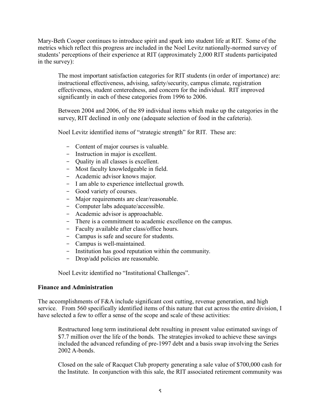Mary-Beth Cooper continues to introduce spirit and spark into student life at RIT. Some of the metrics which reflect this progress are included in the Noel Levitz nationally-normed survey of students' perceptions of their experience at RIT (approximately 2,000 RIT students participated in the survey):

 The most important satisfaction categories for RIT students (in order of importance) are: instructional effectiveness, advising, safety/security, campus climate, registration effectiveness, student centeredness, and concern for the individual. RIT improved significantly in each of these categories from 1996 to 2006.

 Between 2004 and 2006, of the 89 individual items which make up the categories in the survey, RIT declined in only one (adequate selection of food in the cafeteria).

Noel Levitz identified items of "strategic strength" for RIT. These are:

- Content of major courses is valuable.
- Instruction in major is excellent.
- Quality in all classes is excellent.
- Most faculty knowledgeable in field.
- Academic advisor knows major.
- I am able to experience intellectual growth.
- Good variety of courses.
- Major requirements are clear/reasonable.
- Computer labs adequate/accessible.
- Academic advisor is approachable.
- There is a commitment to academic excellence on the campus.
- Faculty available after class/office hours.
- Campus is safe and secure for students.
- Campus is well-maintained.
- Institution has good reputation within the community.
- Drop/add policies are reasonable.

Noel Levitz identified no "Institutional Challenges".

#### **Finance and Administration**

The accomplishments of F&A include significant cost cutting, revenue generation, and high service. From 560 specifically identified items of this nature that cut across the entire division, I have selected a few to offer a sense of the scope and scale of these activities:

 Restructured long term institutional debt resulting in present value estimated savings of \$7.7 million over the life of the bonds. The strategies invoked to achieve these savings included the advanced refunding of pre-1997 debt and a basis swap involving the Series 2002 A-bonds.

 Closed on the sale of Racquet Club property generating a sale value of \$700,000 cash for the Institute. In conjunction with this sale, the RIT associated retirement community was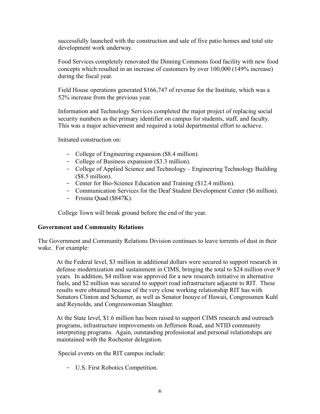successfully launched with the construction and sale of five patio homes and total site development work underway.

 Food Services completely renovated the Dinning Commons food facility with new food concepts which resulted in an increase of customers by over 100,000 (149% increase) during the fiscal year.

 Field House operations generated \$166,747 of revenue for the Institute, which was a 52% increase from the previous year.

 Information and Technology Services completed the major project of replacing social security numbers as the primary identifier on campus for students, staff, and faculty. This was a major achievement and required a total departmental effort to achieve.

Initiated construction on:

- College of Engineering expansion (\$8.4 million).
- College of Business expansion (\$3.3 million).
- College of Applied Science and Technology Engineering Technology Building (\$8.5 million).
- Center for Bio-Science Education and Training (\$12.4 million).
- Communication Services for the Deaf Student Development Center (\$6 million).
- Frisina Quad (\$847K).

College Town will break ground before the end of the year.

## **Government and Community Relations**

The Government and Community Relations Division continues to leave torrents of dust in their wake. For example:

 At the Federal level, \$3 million in additional dollars were secured to support research in defense modernization and sustainment in CIMS, bringing the total to \$24 million over 9 years. In addition, \$4 million was approved for a new research initiative in alternative fuels, and \$2 million was secured to support road infrastructure adjacent to RIT. These results were obtained because of the very close working relationship RIT has with Senators Clinton and Schumer, as well as Senator Inouye of Hawaii, Congressmen Kuhl and Reynolds, and Congresswoman Slaughter.

 At the State level, \$1.6 million has been raised to support CIMS research and outreach programs, infrastructure improvements on Jefferson Road, and NTID community interpreting programs. Again, outstanding professional and personal relationships are maintained with the Rochester delegation.

Special events on the RIT campus include:

- U.S. First Robotics Competition.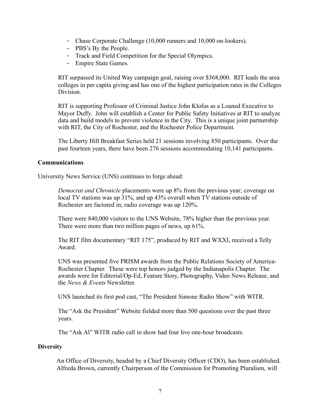- Chase Corporate Challenge (10,000 runners and 10,000 on-lookers).
- PBS's By the People.
- Track and Field Competition for the Special Olympics.
- Empire State Games.

 RIT surpassed its United Way campaign goal, raising over \$368,000. RIT leads the area colleges in per capita giving and has one of the highest participation rates in the Colleges Division.

 RIT is supporting Professor of Criminal Justice John Klofus as a Loaned Executive to Mayor Duffy. John will establish a Center for Public Safety Initiatives at RIT to analyze data and build models to prevent violence in the City. This is a unique joint partnership with RIT, the City of Rochester, and the Rochester Police Department.

 The Liberty Hill Breakfast Series held 21 sessions involving 850 participants. Over the past fourteen years, there have been 276 sessions accommodating 10,141 participants.

## **Communications**

University News Service (UNS) continues to forge ahead:

 *Democrat and Chronicle* placements were up 8% from the previous year; coverage on local TV stations was up 31%, and up 43% overall when TV stations outside of Rochester are factored in; radio coverage was up 120%.

 There were 840,000 visitors to the UNS Website, 78% higher than the previous year. There were more than two million pages of news, up 61%.

 The RIT film documentary "RIT 175", produced by RIT and WXXI, received a Telly Award.

 UNS was presented five PRISM awards from the Public Relations Society of America-Rochester Chapter. These were top honors judged by the Indianapolis Chapter. The awards were for Editorial/Op-Ed, Feature Story, Photography, Video News Release, and the *News & Events* Newsletter.

UNS launched its first pod cast, "The President Simone Radio Show" with WITR.

 The "Ask the President" Website fielded more than 500 questions over the past three years.

The "Ask Al" WITR radio call in show had four live one-hour broadcasts.

## **Diversity**

 An Office of Diversity, headed by a Chief Diversity Officer (CDO), has been established. Alfreda Brown, currently Chairperson of the Commission for Promoting Pluralism, will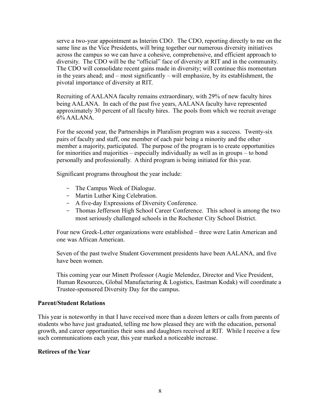serve a two-year appointment as Interim CDO. The CDO, reporting directly to me on the same line as the Vice Presidents, will bring together our numerous diversity initiatives across the campus so we can have a cohesive, comprehensive, and efficient approach to diversity. The CDO will be the "official" face of diversity at RIT and in the community. The CDO will consolidate recent gains made in diversity; will continue this momentum in the years ahead; and – most significantly – will emphasize, by its establishment, the pivotal importance of diversity at RIT.

 Recruiting of AALANA faculty remains extraordinary, with 29% of new faculty hires being AALANA. In each of the past five years, AALANA faculty have represented approximately 30 percent of all faculty hires. The pools from which we recruit average 6% AALANA.

 For the second year, the Partnerships in Pluralism program was a success. Twenty-six pairs of faculty and staff, one member of each pair being a minority and the other member a majority, participated. The purpose of the program is to create opportunities for minorities and majorities – especially individually as well as in groups – to bond personally and professionally. A third program is being initiated for this year.

Significant programs throughout the year include:

- The Campus Week of Dialogue.
- Martin Luther King Celebration.
- A five-day Expressions of Diversity Conference.
- Thomas Jefferson High School Career Conference. This school is among the two most seriously challenged schools in the Rochester City School District.

 Four new Greek-Letter organizations were established – three were Latin American and one was African American.

 Seven of the past twelve Student Government presidents have been AALANA, and five have been women.

 This coming year our Minett Professor (Augie Melendez, Director and Vice President, Human Resources, Global Manufacturing & Logistics, Eastman Kodak) will coordinate a Trustee-sponsored Diversity Day for the campus.

#### **Parent/Student Relations**

This year is noteworthy in that I have received more than a dozen letters or calls from parents of students who have just graduated, telling me how pleased they are with the education, personal growth, and career opportunities their sons and daughters received at RIT. While I receive a few such communications each year, this year marked a noticeable increase.

#### **Retirees of the Year**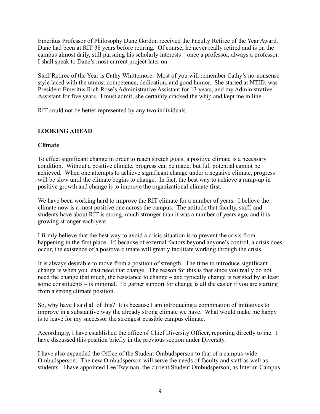Emeritus Professor of Philosophy Dane Gordon received the Faculty Retiree of the Year Award. Dane had been at RIT 38 years before retiring. Of course, he never really retired and is on the campus almost daily, still pursuing his scholarly interests – once a professor, always a professor. I shall speak to Dane's most current project later on.

Staff Retiree of the Year is Cathy Whittemore. Most of you will remember Cathy's no-nonsense style laced with the utmost competence, dedication, and good humor. She started at NTID, was President Emeritus Rich Rose's Administrative Assistant for 13 years, and my Administrative Assistant for five years. I must admit, she certainly cracked the whip and kept me in line.

RIT could not be better represented by any two individuals.

## **LOOKING AHEAD**

#### **Climate**

To effect significant change in order to reach stretch goals, a positive climate is a necessary condition. Without a positive climate, progress can be made, but full potential cannot be achieved. When one attempts to achieve significant change under a negative climate, progress will be slow until the climate begins to change. In fact, the best way to achieve a ramp-up in positive growth and change is to improve the organizational climate first.

We have been working hard to improve the RIT climate for a number of years. I believe the climate now is a most positive one across the campus. The attitude that faculty, staff, and students have about RIT is strong, much stronger than it was a number of years ago, and it is growing stronger each year.

I firmly believe that the best way to avoid a crisis situation is to prevent the crisis from happening in the first place. If, because of external factors beyond anyone's control, a crisis does occur, the existence of a positive climate will greatly facilitate working through the crisis.

It is always desirable to move from a position of strength. The time to introduce significant change is when you least need that change. The reason for this is that since you really do not need the change that much, the resistance to change – and typically change is resisted by at least some constituents – is minimal. To garner support for change is all the easier if you are starting from a strong climate position.

So, why have I said all of this? It is because I am introducing a combination of initiatives to improve in a substantive way the already strong climate we have. What would make me happy is to leave for my successor the strongest possible campus climate.

Accordingly, I have established the office of Chief Diversity Officer, reporting directly to me. I have discussed this position briefly in the previous section under Diversity.

I have also expanded the Office of the Student Ombudsperson to that of a campus-wide Ombudsperson. The new Ombudsperson will serve the needs of faculty and staff as well as students. I have appointed Lee Twyman, the current Student Ombudsperson, as Interim Campus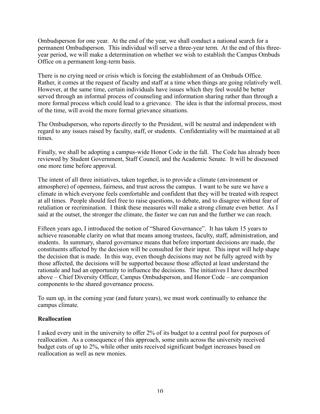Ombudsperson for one year. At the end of the year, we shall conduct a national search for a permanent Ombudsperson. This individual will serve a three-year term. At the end of this threeyear period, we will make a determination on whether we wish to establish the Campus Ombuds Office on a permanent long-term basis.

There is no crying need or crisis which is forcing the establishment of an Ombuds Office. Rather, it comes at the request of faculty and staff at a time when things are going relatively well. However, at the same time, certain individuals have issues which they feel would be better served through an informal process of counseling and information sharing rather than through a more formal process which could lead to a grievance. The idea is that the informal process, most of the time, will avoid the more formal grievance situations.

The Ombudsperson, who reports directly to the President, will be neutral and independent with regard to any issues raised by faculty, staff, or students. Confidentiality will be maintained at all times.

Finally, we shall be adopting a campus-wide Honor Code in the fall. The Code has already been reviewed by Student Government, Staff Council, and the Academic Senate. It will be discussed one more time before approval.

The intent of all three initiatives, taken together, is to provide a climate (environment or atmosphere) of openness, fairness, and trust across the campus. I want to be sure we have a climate in which everyone feels comfortable and confident that they will be treated with respect at all times. People should feel free to raise questions, to debate, and to disagree without fear of retaliation or recrimination. I think these measures will make a strong climate even better. As I said at the outset, the stronger the climate, the faster we can run and the further we can reach.

Fifteen years ago, I introduced the notion of "Shared Governance". It has taken 15 years to achieve reasonable clarity on what that means among trustees, faculty, staff, administration, and students. In summary, shared governance means that before important decisions are made, the constituents affected by the decision will be consulted for their input. This input will help shape the decision that is made. In this way, even though decisions may not be fully agreed with by those affected, the decisions will be supported because those affected at least understand the rationale and had an opportunity to influence the decisions. The initiatives I have described above – Chief Diversity Officer, Campus Ombudsperson, and Honor Code – are companion components to the shared governance process.

To sum up, in the coming year (and future years), we must work continually to enhance the campus climate.

#### **Reallocation**

I asked every unit in the university to offer 2% of its budget to a central pool for purposes of reallocation. As a consequence of this approach, some units across the university received budget cuts of up to 2%, while other units received significant budget increases based on reallocation as well as new monies.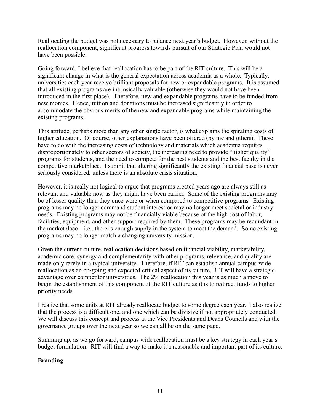Reallocating the budget was not necessary to balance next year's budget. However, without the reallocation component, significant progress towards pursuit of our Strategic Plan would not have been possible.

Going forward, I believe that reallocation has to be part of the RIT culture. This will be a significant change in what is the general expectation across academia as a whole. Typically, universities each year receive brilliant proposals for new or expandable programs. It is assumed that all existing programs are intrinsically valuable (otherwise they would not have been introduced in the first place). Therefore, new and expandable programs have to be funded from new monies. Hence, tuition and donations must be increased significantly in order to accommodate the obvious merits of the new and expandable programs while maintaining the existing programs.

This attitude, perhaps more than any other single factor, is what explains the spiraling costs of higher education. Of course, other explanations have been offered (by me and others). These have to do with the increasing costs of technology and materials which academia requires disproportionately to other sectors of society, the increasing need to provide "higher quality" programs for students, and the need to compete for the best students and the best faculty in the competitive marketplace. I submit that altering significantly the existing financial base is never seriously considered, unless there is an absolute crisis situation.

However, it is really not logical to argue that programs created years ago are always still as relevant and valuable now as they might have been earlier. Some of the existing programs may be of lesser quality than they once were or when compared to competitive programs. Existing programs may no longer command student interest or may no longer meet societal or industry needs. Existing programs may not be financially viable because of the high cost of labor, facilities, equipment, and other support required by them. These programs may be redundant in the marketplace  $-$  i.e., there is enough supply in the system to meet the demand. Some existing programs may no longer match a changing university mission.

Given the current culture, reallocation decisions based on financial viability, marketability, academic core, synergy and complementarity with other programs, relevance, and quality are made only rarely in a typical university. Therefore, if RIT can establish annual campus-wide reallocation as an on-going and expected critical aspect of its culture, RIT will have a strategic advantage over competitor universities. The 2% reallocation this year is as much a move to begin the establishment of this component of the RIT culture as it is to redirect funds to higher priority needs.

I realize that some units at RIT already reallocate budget to some degree each year. I also realize that the process is a difficult one, and one which can be divisive if not appropriately conducted. We will discuss this concept and process at the Vice Presidents and Deans Councils and with the governance groups over the next year so we can all be on the same page.

Summing up, as we go forward, campus wide reallocation must be a key strategy in each year's budget formulation. RIT will find a way to make it a reasonable and important part of its culture.

## **Branding**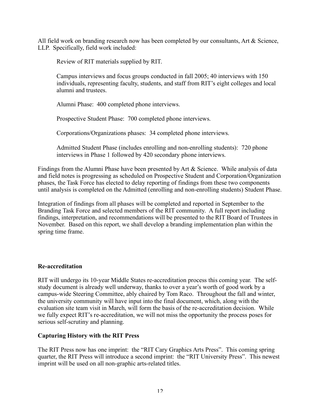All field work on branding research now has been completed by our consultants, Art & Science, LLP. Specifically, field work included:

Review of RIT materials supplied by RIT.

 Campus interviews and focus groups conducted in fall 2005; 40 interviews with 150 individuals, representing faculty, students, and staff from RIT's eight colleges and local alumni and trustees.

Alumni Phase: 400 completed phone interviews.

Prospective Student Phase: 700 completed phone interviews.

Corporations/Organizations phases: 34 completed phone interviews.

 Admitted Student Phase (includes enrolling and non-enrolling students): 720 phone interviews in Phase 1 followed by 420 secondary phone interviews.

Findings from the Alumni Phase have been presented by Art & Science. While analysis of data and field notes is progressing as scheduled on Prospective Student and Corporation/Organization phases, the Task Force has elected to delay reporting of findings from these two components until analysis is completed on the Admitted (enrolling and non-enrolling students) Student Phase.

Integration of findings from all phases will be completed and reported in September to the Branding Task Force and selected members of the RIT community. A full report including findings, interpretation, and recommendations will be presented to the RIT Board of Trustees in November. Based on this report, we shall develop a branding implementation plan within the spring time frame.

## **Re-accreditation**

RIT will undergo its 10-year Middle States re-accreditation process this coming year. The selfstudy document is already well underway, thanks to over a year's worth of good work by a campus-wide Steering Committee, ably chaired by Tom Raco. Throughout the fall and winter, the university community will have input into the final document, which, along with the evaluation site team visit in March, will form the basis of the re-accreditation decision. While we fully expect RIT's re-accreditation, we will not miss the opportunity the process poses for serious self-scrutiny and planning.

## **Capturing History with the RIT Press**

The RIT Press now has one imprint: the "RIT Cary Graphics Arts Press". This coming spring quarter, the RIT Press will introduce a second imprint: the "RIT University Press". This newest imprint will be used on all non-graphic arts-related titles.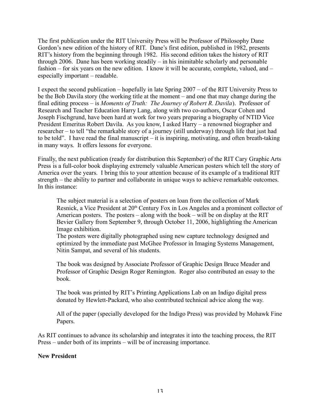The first publication under the RIT University Press will be Professor of Philosophy Dane Gordon's new edition of the history of RIT. Dane's first edition, published in 1982, presents RIT's history from the beginning through 1982. His second edition takes the history of RIT through 2006. Dane has been working steadily – in his inimitable scholarly and personable fashion – for six years on the new edition. I know it will be accurate, complete, valued, and – especially important – readable.

I expect the second publication – hopefully in late Spring 2007 – of the RIT University Press to be the Bob Davila story (the working title at the moment – and one that may change during the final editing process – is *Moments of Truth: The Journey of Robert R. Davila*). Professor of Research and Teacher Education Harry Lang, along with two co-authors, Oscar Cohen and Joseph Fischgrund, have been hard at work for two years preparing a biography of NTID Vice President Emeritus Robert Davila. As you know, I asked Harry – a renowned biographer and researcher – to tell "the remarkable story of a journey (still underway) through life that just had to be told". I have read the final manuscript – it is inspiring, motivating, and often breath-taking in many ways. It offers lessons for everyone.

Finally, the next publication (ready for distribution this September) of the RIT Cary Graphic Arts Press is a full-color book displaying extremely valuable American posters which tell the story of America over the years. I bring this to your attention because of its example of a traditional RIT strength – the ability to partner and collaborate in unique ways to achieve remarkable outcomes. In this instance:

 The subject material is a selection of posters on loan from the collection of Mark Resnick, a Vice President at 20<sup>th</sup> Century Fox in Los Angeles and a prominent collector of American posters. The posters – along with the book – will be on display at the RIT Bevier Gallery from September 9, through October 11, 2006, highlighting the American Image exhibition.

 The posters were digitally photographed using new capture technology designed and optimized by the immediate past McGhee Professor in Imaging Systems Management, Nitin Sampat, and several of his students.

 The book was designed by Associate Professor of Graphic Design Bruce Meader and Professor of Graphic Design Roger Remington. Roger also contributed an essay to the book.

 The book was printed by RIT's Printing Applications Lab on an Indigo digital press donated by Hewlett-Packard, who also contributed technical advice along the way.

 All of the paper (specially developed for the Indigo Press) was provided by Mohawk Fine Papers.

As RIT continues to advance its scholarship and integrates it into the teaching process, the RIT Press – under both of its imprints – will be of increasing importance.

#### **New President**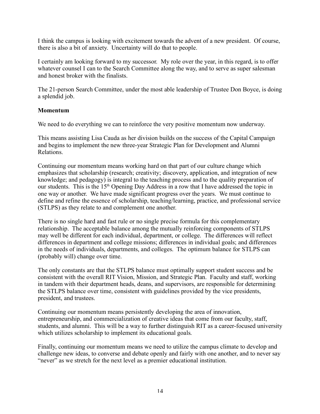I think the campus is looking with excitement towards the advent of a new president. Of course, there is also a bit of anxiety. Uncertainty will do that to people.

I certainly am looking forward to my successor. My role over the year, in this regard, is to offer whatever counsel I can to the Search Committee along the way, and to serve as super salesman and honest broker with the finalists.

The 21-person Search Committee, under the most able leadership of Trustee Don Boyce, is doing a splendid job.

## **Momentum**

We need to do everything we can to reinforce the very positive momentum now underway.

This means assisting Lisa Cauda as her division builds on the success of the Capital Campaign and begins to implement the new three-year Strategic Plan for Development and Alumni Relations.

Continuing our momentum means working hard on that part of our culture change which emphasizes that scholarship (research; creativity; discovery, application, and integration of new knowledge; and pedagogy) is integral to the teaching process and to the quality preparation of our students. This is the 15<sup>th</sup> Opening Day Address in a row that I have addressed the topic in one way or another. We have made significant progress over the years. We must continue to define and refine the essence of scholarship, teaching/learning, practice, and professional service (STLPS) as they relate to and complement one another.

There is no single hard and fast rule or no single precise formula for this complementary relationship. The acceptable balance among the mutually reinforcing components of STLPS may well be different for each individual, department, or college. The differences will reflect differences in department and college missions; differences in individual goals; and differences in the needs of individuals, departments, and colleges. The optimum balance for STLPS can (probably will) change over time.

The only constants are that the STLPS balance must optimally support student success and be consistent with the overall RIT Vision, Mission, and Strategic Plan. Faculty and staff, working in tandem with their department heads, deans, and supervisors, are responsible for determining the STLPS balance over time, consistent with guidelines provided by the vice presidents, president, and trustees.

Continuing our momentum means persistently developing the area of innovation, entrepreneurship, and commercialization of creative ideas that come from our faculty, staff, students, and alumni. This will be a way to further distinguish RIT as a career-focused university which utilizes scholarship to implement its educational goals.

Finally, continuing our momentum means we need to utilize the campus climate to develop and challenge new ideas, to converse and debate openly and fairly with one another, and to never say "never" as we stretch for the next level as a premier educational institution.